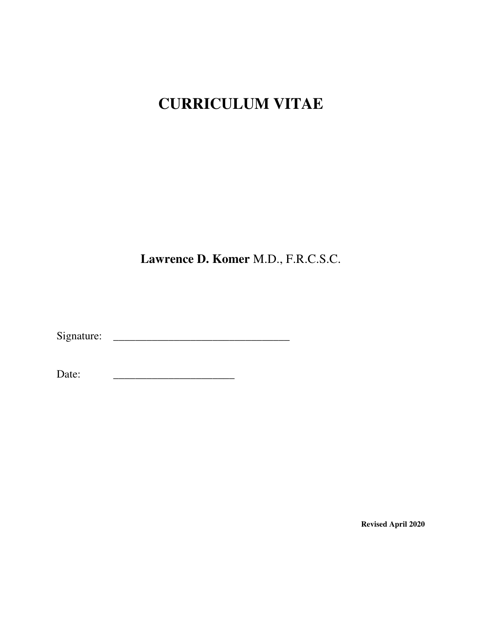# **CURRICULUM VITAE**

**Lawrence D. Komer** M.D., F.R.C.S.C.

Signature: **\_\_\_\_\_\_\_\_\_\_\_\_\_\_\_\_\_\_\_\_\_\_\_\_\_\_\_\_\_\_\_\_** 

Date: <u>\_\_\_\_\_\_\_\_\_\_\_\_\_\_\_\_\_\_\_\_\_\_\_\_</u>

**Revised April 2020**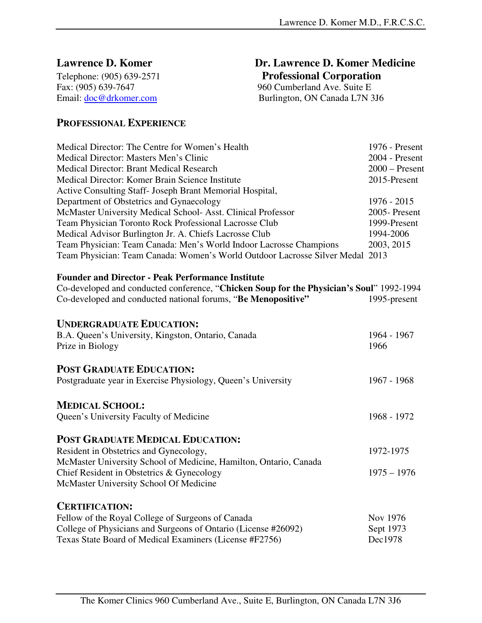Email: <u>doc@drkomer.com</u> Burlington, ON Canada L7N 3J6

**Lawrence D. Komer Dr. Lawrence D. Komer Medicine** Telephone: (905) 639-2571 **Professional Corporation**<br>Fax: (905) 639-7647 960 Cumberland Ave. Suite E 960 Cumberland Ave. Suite E

### **PROFESSIONAL EXPERIENCE**

| 1976 - Present                                                                |
|-------------------------------------------------------------------------------|
| $2004$ - Present                                                              |
| $2000$ – Present                                                              |
| 2015-Present                                                                  |
|                                                                               |
| $1976 - 2015$                                                                 |
| 2005-Present                                                                  |
| 1999-Present                                                                  |
| 1994-2006                                                                     |
| 2003, 2015                                                                    |
| Team Physician: Team Canada: Women's World Outdoor Lacrosse Silver Medal 2013 |
|                                                                               |

### **Founder and Director - Peak Performance Institute**

| Co-developed and conducted conference, "Chicken Soup for the Physician's Soul" 1992-1994                       |                     |  |
|----------------------------------------------------------------------------------------------------------------|---------------------|--|
| Co-developed and conducted national forums, "Be Menopositive"                                                  | 1995-present        |  |
| <b>UNDERGRADUATE EDUCATION:</b>                                                                                |                     |  |
| B.A. Queen's University, Kingston, Ontario, Canada<br>Prize in Biology                                         | 1964 - 1967<br>1966 |  |
| <b>POST GRADUATE EDUCATION:</b>                                                                                |                     |  |
| Postgraduate year in Exercise Physiology, Queen's University                                                   | 1967 - 1968         |  |
| <b>MEDICAL SCHOOL:</b>                                                                                         |                     |  |
| Queen's University Faculty of Medicine                                                                         | 1968 - 1972         |  |
| <b>POST GRADUATE MEDICAL EDUCATION:</b>                                                                        |                     |  |
| Resident in Obstetrics and Gynecology,                                                                         | 1972-1975           |  |
| McMaster University School of Medicine, Hamilton, Ontario, Canada<br>Chief Resident in Obstetrics & Gynecology | $1975 - 1976$       |  |
| McMaster University School Of Medicine                                                                         |                     |  |
| <b>CERTIFICATION:</b>                                                                                          |                     |  |
| Fellow of the Royal College of Surgeons of Canada                                                              | Nov 1976            |  |
| College of Physicians and Surgeons of Ontario (License #26092)                                                 | Sept 1973           |  |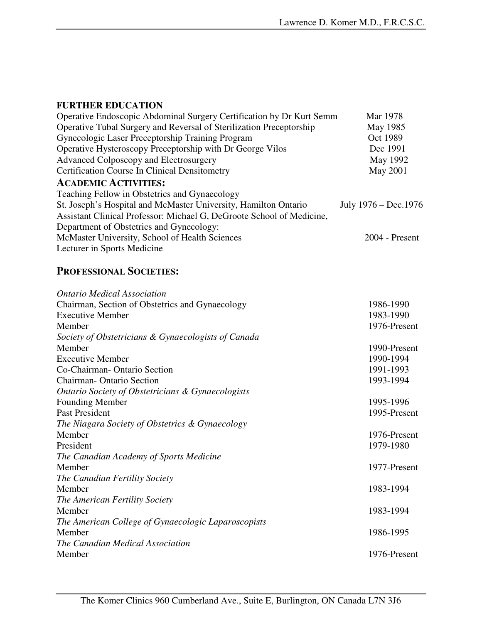### **FURTHER EDUCATION**

| Operative Endoscopic Abdominal Surgery Certification by Dr Kurt Semm  | Mar 1978              |
|-----------------------------------------------------------------------|-----------------------|
| Operative Tubal Surgery and Reversal of Sterilization Preceptorship   | May 1985              |
| Gynecologic Laser Preceptorship Training Program                      | Oct 1989              |
| Operative Hysteroscopy Preceptorship with Dr George Vilos             | Dec 1991              |
| Advanced Colposcopy and Electrosurgery                                | May 1992              |
| <b>Certification Course In Clinical Densitometry</b>                  | May 2001              |
| <b>ACADEMIC ACTIVITIES:</b>                                           |                       |
| Teaching Fellow in Obstetrics and Gynaecology                         |                       |
| St. Joseph's Hospital and McMaster University, Hamilton Ontario       | July 1976 – Dec. 1976 |
| Assistant Clinical Professor: Michael G, DeGroote School of Medicine, |                       |
| Department of Obstetrics and Gynecology:                              |                       |
| McMaster University, School of Health Sciences                        | $2004$ - Present      |
| Lecturer in Sports Medicine                                           |                       |

## **PROFESSIONAL SOCIETIES:**

| <b>Ontario Medical Association</b>                  |              |
|-----------------------------------------------------|--------------|
| Chairman, Section of Obstetrics and Gynaecology     | 1986-1990    |
| <b>Executive Member</b>                             | 1983-1990    |
| Member                                              | 1976-Present |
| Society of Obstetricians & Gynaecologists of Canada |              |
| Member                                              | 1990-Present |
| <b>Executive Member</b>                             | 1990-1994    |
| Co-Chairman-Ontario Section                         | 1991-1993    |
| <b>Chairman-Ontario Section</b>                     | 1993-1994    |
| Ontario Society of Obstetricians & Gynaecologists   |              |
| <b>Founding Member</b>                              | 1995-1996    |
| Past President                                      | 1995-Present |
| The Niagara Society of Obstetrics & Gynaecology     |              |
| Member                                              | 1976-Present |
| President                                           | 1979-1980    |
| The Canadian Academy of Sports Medicine             |              |
| Member                                              | 1977-Present |
| The Canadian Fertility Society                      |              |
| Member                                              | 1983-1994    |
| The American Fertility Society                      |              |
| Member                                              | 1983-1994    |
| The American College of Gynaecologic Laparoscopists |              |
| Member                                              | 1986-1995    |
| The Canadian Medical Association                    |              |
| Member                                              | 1976-Present |
|                                                     |              |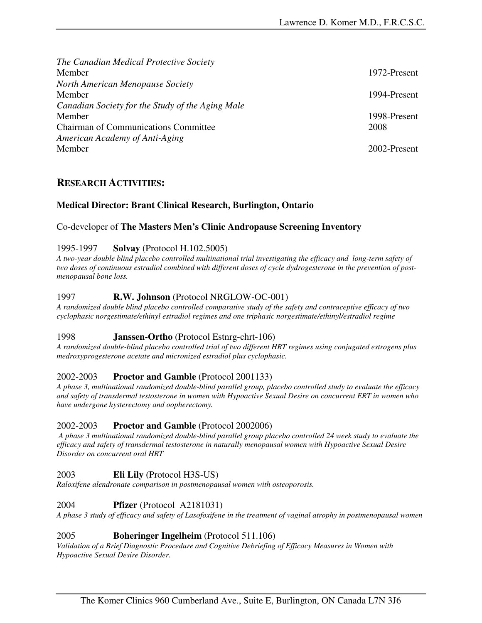*The Canadian Medical Protective Society*  Member 1972-Present *North American Menopause Society*  Member 1994-Present *Canadian Society for the Study of the Aging Male*  Member 1998-Present Chairman of Communications Committee 2008 *American Academy of Anti-Aging*  Member 2002-Present

### **RESEARCH ACTIVITIES:**

### **Medical Director: Brant Clinical Research, Burlington, Ontario**

### Co-developer of **The Masters Men's Clinic Andropause Screening Inventory**

### 1995-1997 **Solvay** (Protocol H.102.5005)

*A two-year double blind placebo controlled multinational trial investigating the efficacy and long-term safety of two doses of continuous estradiol combined with different doses of cycle dydrogesterone in the prevention of postmenopausal bone loss.* 

### 1997 **R.W. Johnson** (Protocol NRGLOW-OC-001)

*A randomized double blind placebo controlled comparative study of the safety and contraceptive efficacy of two cyclophasic norgestimate/ethinyl estradiol regimes and one triphasic norgestimate/ethinyl/estradiol regime* 

### 1998 **Janssen-Ortho** (Protocol Estnrg-chrt-106)

*A randomized double-blind placebo controlled trial of two different HRT regimes using conjugated estrogens plus medroxyprogesterone acetate and micronized estradiol plus cyclophasic.* 

### 2002-2003 **Proctor and Gamble** (Protocol 2001133)

*A phase 3, multinational randomized double-blind parallel group, placebo controlled study to evaluate the efficacy and safety of transdermal testosterone in women with Hypoactive Sexual Desire on concurrent ERT in women who have undergone hysterectomy and oopherectomy.* 

### 2002-2003 **Proctor and Gamble** (Protocol 2002006)

 *A phase 3 multinational randomized double-blind parallel group placebo controlled 24 week study to evaluate the efficacy and safety of transdermal testosterone in naturally menopausal women with Hypoactive Sexual Desire Disorder on concurrent oral HRT* 

### 2003 **Eli Lily** (Protocol H3S-US)

*Raloxifene alendronate comparison in postmenopausal women with osteoporosis.*

### 2004 **Pfizer** (Protocol A2181031)

*A phase 3 study of efficacy and safety of Lasofoxifene in the treatment of vaginal atrophy in postmenopausal women* 

### 2005 **Boheringer Ingelheim** (Protocol 511.106)

*Validation of a Brief Diagnostic Procedure and Cognitive Debriefing of Efficacy Measures in Women with Hypoactive Sexual Desire Disorder.*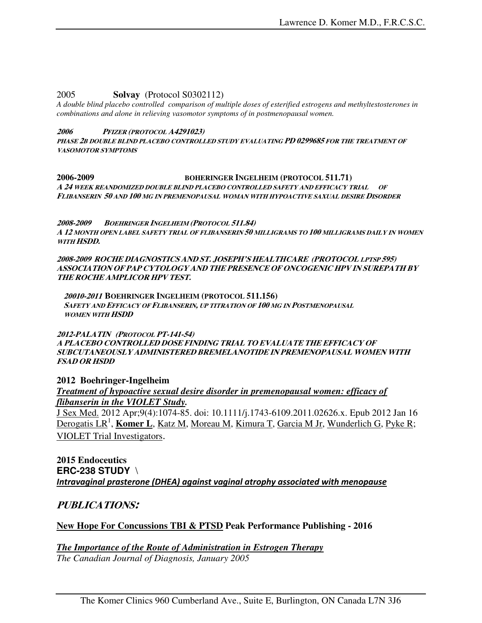#### 2005 **Solvay** (Protocol S0302112)

*A double blind placebo controlled comparison of multiple doses of esterified estrogens and methyltestosterones in combinations and alone in relieving vasomotor symptoms of in postmenopausal women.* 

#### **2006 PFIZER (PROTOCOL A4291023)**

**PHASE 2B DOUBLE BLIND PLACEBO CONTROLLED STUDY EVALUATING PD 0299685 FOR THE TREATMENT OF VASOMOTOR SYMPTOMS**

#### **2006-2009 BOHERINGER INGELHEIM (PROTOCOL 511.71) A 24 WEEK REANDOMIZED DOUBLE BLIND PLACEBO CONTROLLED SAFETY AND EFFICACY TRIAL OF FLIBANSERIN 50 AND 100 MG IN PREMENOPAUSAL WOMAN WITH HYPOACTIVE SAXUAL DESIRE DISORDER**

**2008-2009 BOEHRINGER INGELHEIM (PROTOCOL 511.84) A 12 MONTH OPEN LABEL SAFETY TRIAL OF FLIBANSERIN 50 MILLIGRAMS TO 100 MILLIGRAMS DAILY IN WOMEN WITH HSDD.** 

**2008-2009 ROCHE DIAGNOSTICS AND ST. JOSEPH'S HEALTHCARE (PROTOCOL LPTSP 595) ASSOCIATION OF PAP CYTOLOGY AND THE PRESENCE OF ONCOGENIC HPV IN SUREPATH BY THE ROCHE AMPLICOR HPV TEST.** 

**20010-2011 BOEHRINGER INGELHEIM (PROTOCOL 511.156) SAFETY AND EFFICACY OF FLIBANSERIN, UP TITRATION OF 100 MG IN POSTMENOPAUSAL WOMEN WITH HSDD** 

**2012-PALATIN (PROTOCOL PT-141-54) A PLACEBO CONTROLLED DOSE FINDING TRIAL TO EVALUATE THE EFFICACY OF SUBCUTANEOUSLY ADMINISTERED BREMELANOTIDE IN PREMENOPAUSAL WOMEN WITH FSAD OR HSDD** 

**2012 Boehringer-Ingelheim**  *Treatment of hypoactive sexual desire disorder in premenopausal women: efficacy of flibanserin in the VIOLET Study.* 

J Sex Med. 2012 Apr;9(4):1074-85. doi: 10.1111/j.1743-6109.2011.02626.x. Epub 2012 Jan 16 Derogatis LR<sup>1</sup>, Komer L, Katz M, Moreau M, Kimura T, Garcia M Jr, Wunderlich G, Pyke R; VIOLET Trial Investigators.

### **2015 Endoceutics ERC-238 STUDY** \ Intravaginal prasterone (DHEA) against vaginal atrophy associated with menopause

### **PUBLICATIONS:**

### **New Hope For Concussions TBI & PTSD Peak Performance Publishing - 2016**

*The Importance of the Route of Administration in Estrogen Therapy The Canadian Journal of Diagnosis, January 2005*